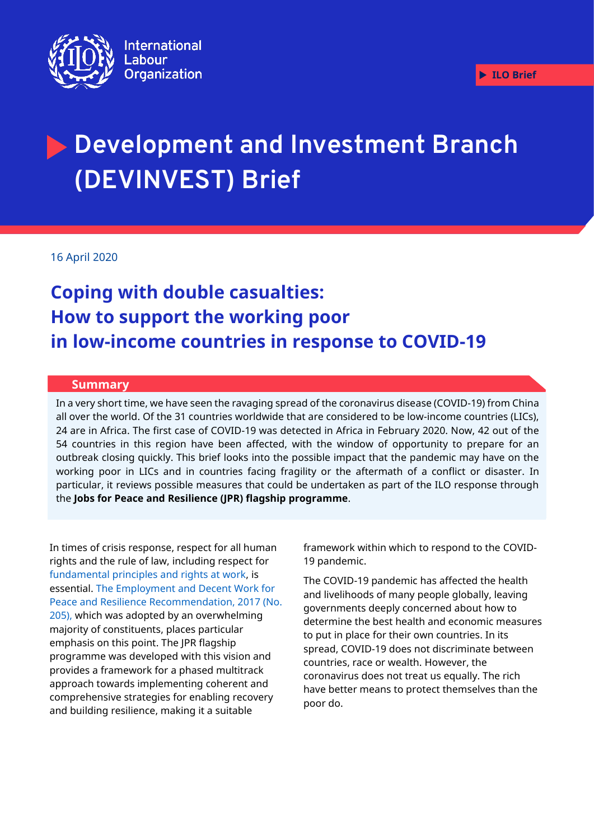

# **Development and Investment Branch (DEVINVEST) Brief**

16 April 2020

## **Coping with double casualties: How to support the working poor in low-income countries in response to COVID-19**

#### **Summary**

In a very short time, we have seen the ravaging spread of the coronavirus disease (COVID-19) from China all over the world. Of the 31 countries worldwide that are considered to be low-income countries (LICs), 24 are in Africa. The first case of COVID-19 was detected in Africa in February 2020. Now, 42 out of the 54 countries in this region have been affected, with the window of opportunity to prepare for an outbreak closing quickly. This brief looks into the possible impact that the pandemic may have on the working poor in LICs and in countries facing fragility or the aftermath of a conflict or disaster. In particular, it reviews possible measures that could be undertaken as part of the ILO response through **for Peace & Resilience (JPR) Flagship**. the **Jobs for Peace and Resilience (JPR) flagship programme**.

In times of crisis response, respect for all human rights and the rule of law, including respect for [fundamental principles and rights at work,](https://www.ilo.org/declaration/lang--en/index.htm) is essential. [The Employment and Decent Work for](https://www.ilo.org/dyn/normlex/en/f?p=NORMLEXPUB:12100:0::NO::P12100_ILO_CODE:R205)  [Peace and Resilience Recommendation, 2017 \(No.](https://www.ilo.org/dyn/normlex/en/f?p=NORMLEXPUB:12100:0::NO::P12100_ILO_CODE:R205)  [205\),](https://www.ilo.org/dyn/normlex/en/f?p=NORMLEXPUB:12100:0::NO::P12100_ILO_CODE:R205) which was adopted by an overwhelming majority of constituents, places particular emphasis on this point. The JPR flagship programme was developed with this vision and provides a framework for a phased multitrack approach towards implementing coherent and comprehensive strategies for enabling recovery and building resilience, making it a suitable

framework within which to respond to the COVID-19 pandemic.

The COVID-19 pandemic has affected the health and livelihoods of many people globally, leaving governments deeply concerned about how to determine the best health and economic measures to put in place for their own countries. In its spread, COVID-19 does not discriminate between countries, race or wealth. However, the coronavirus does not treat us equally. The rich have better means to protect themselves than the poor do.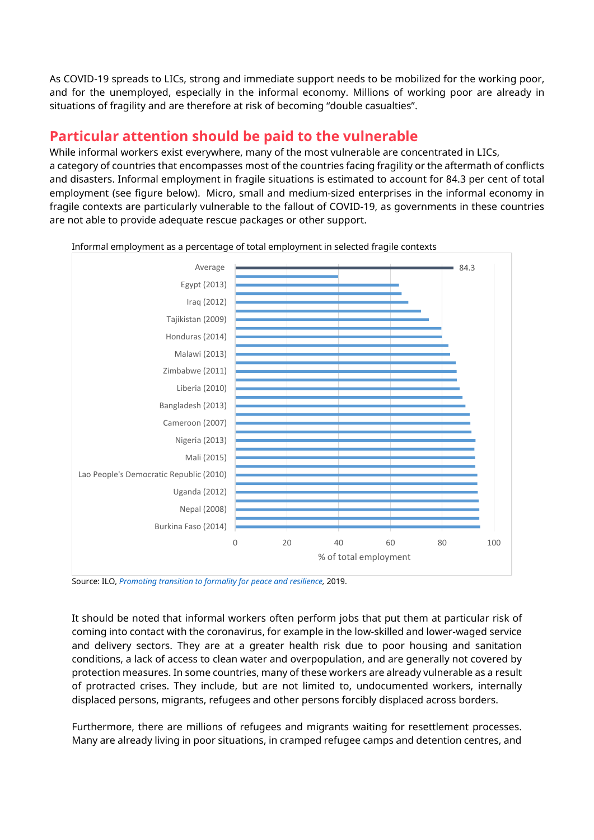As COVID-19 spreads to LICs, strong and immediate support needs to be mobilized for the working poor, and for the unemployed, especially in the informal economy. Millions of working poor are already in situations of fragility and are therefore at risk of becoming "double casualties".

#### **Particular attention should be paid to the vulnerable**

are not able to provide adequate rescue packages or other support.

While informal workers exist everywhere, many of the most vulnerable are concentrated in LICs, a category of countries that encompasses most of the countries facing fragility or the aftermath of conflicts and disasters. Informal employment in fragile situations is estimated to account for 84.3 per cent of total employment (see figure below). Micro, small and medium-sized enterprises in the informal economy in fragile contexts are particularly vulnerable to the fallout of COVID-19, as governments in these countries

84.3 0 20 40 60 80 100 Burkina Faso (2014) Nepal (2008) Uganda (2012) Lao People's Democratic Republic (2010) Mali (2015) Nigeria (2013) Cameroon (2007) Bangladesh (2013) Liberia (2010) Zimbabwe (2011) Malawi (2013) Honduras (2014) Tajikistan (2009) Iraq (2012) Egypt (2013) Average % of total employment

Informal employment as a percentage of total employment in selected fragile contexts

Source: ILO, *[Promoting transition to formality for peace and resilience,](http://www.ilo.org/wcmsp5/groups/public/---ed_emp/documents/instructionalmaterial/wcms_736145.pdf)* 2019.

It should be noted that informal workers often perform jobs that put them at particular risk of coming into contact with the coronavirus, for example in the low-skilled and lower-waged service and delivery sectors. They are at a greater health risk due to poor housing and sanitation conditions, a lack of access to clean water and overpopulation, and are generally not covered by protection measures. In some countries, many of these workers are already vulnerable as a result of protracted crises. They include, but are not limited to, undocumented workers, internally displaced persons, migrants, refugees and other persons forcibly displaced across borders.

Furthermore, there are millions of refugees and migrants waiting for resettlement processes. Many are already living in poor situations, in cramped refugee camps and detention centres, and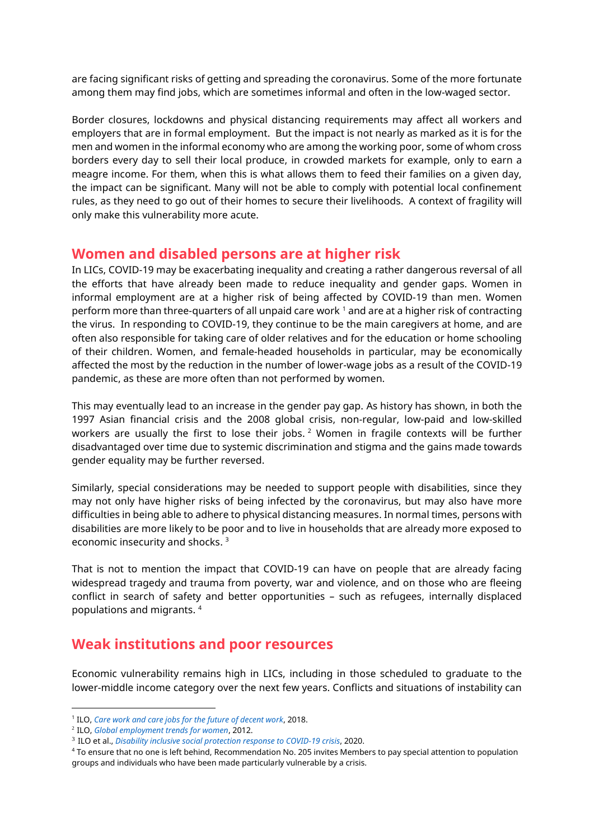are facing significant risks of getting and spreading the coronavirus. Some of the more fortunate among them may find jobs, which are sometimes informal and often in the low-waged sector.

Border closures, lockdowns and physical distancing requirements may affect all workers and employers that are in formal employment. But the impact is not nearly as marked as it is for the men and women in the informal economy who are among the working poor, some of whom cross borders every day to sell their local produce, in crowded markets for example, only to earn a meagre income. For them, when this is what allows them to feed their families on a given day, the impact can be significant. Many will not be able to comply with potential local confinement rules, as they need to go out of their homes to secure their livelihoods. A context of fragility will only make this vulnerability more acute.

#### **Women and disabled persons are at higher risk**

In LICs, COVID-19 may be exacerbating inequality and creating a rather dangerous reversal of all the efforts that have already been made to reduce inequality and gender gaps. Women in informal employment are at a higher risk of being affected by COVID-19 than men. Women perform more than three-quarters of all unpaid care work  $1$  and are at a higher risk of contracting the virus. In responding to COVID-19, they continue to be the main caregivers at home, and are often also responsible for taking care of older relatives and for the education or home schooling of their children. Women, and female-headed households in particular, may be economically affected the most by the reduction in the number of lower-wage jobs as a result of the COVID-19 pandemic, as these are more often than not performed by women.

This may eventually lead to an increase in the gender pay gap. As history has shown, in both the 1997 Asian financial crisis and the 2008 global crisis, non-regular, low-paid and low-skilled workers are usually the first to lose their jobs.  $2$  Women in fragile contexts will be further disadvantaged over time due to systemic discrimination and stigma and the gains made towards gender equality may be further reversed.

Similarly, special considerations may be needed to support people with disabilities, since they may not only have higher risks of being infected by the coronavirus, but may also have more difficulties in being able to adhere to physical distancing measures. In normal times, persons with disabilities are more likely to be poor and to live in households that are already more exposed to economic insecurity and shocks. 3

That is not to mention the impact that COVID-19 can have on people that are already facing widespread tragedy and trauma from poverty, war and violence, and on those who are fleeing conflict in search of safety and better opportunities – such as refugees, internally displaced populations and migrants. 4

#### **Weak institutions and poor resources**

Economic vulnerability remains high in LICs, including in those scheduled to graduate to the lower-middle income category over the next few years. Conflicts and situations of instability can

<sup>1</sup> ILO, *[Care work and care jobs for the future of decent work](http://www.ilo.org/wcmsp5/groups/public/---dgreports/---dcomm/---publ/documents/publication/wcms_633135.pdf)*, 2018.

<sup>2</sup> ILO, *[Global employment trends for women](https://www.ilo.org/wcmsp5/groups/public/---dgreports/---dcomm/documents/publication/wcms_195447.pdf)*, 2012.

<sup>3</sup> ILO et al., *[Disability inclusive social protection response to COVID-19 crisis](https://www.ilo.org/wcmsp5/groups/public/---ed_emp/---ifp_skills/documents/publication/wcms_742140.pdf)*, 2020.

<sup>4</sup> To ensure that no one is left behind, Recommendation No. 205 invites Members to pay special attention to population groups and individuals who have been made particularly vulnerable by a crisis.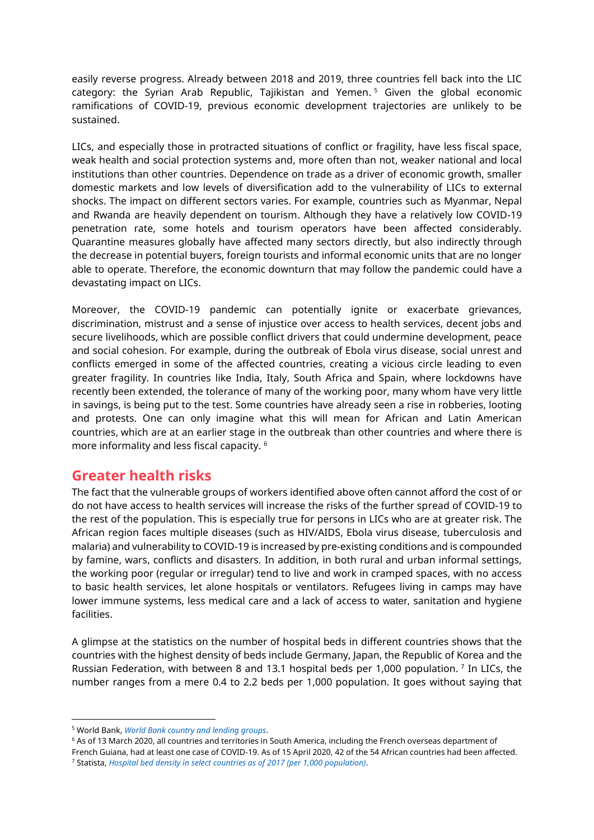easily reverse progress. Already between 2018 and 2019, three countries fell back into the LIC category: the Syrian Arab Republic, Tajikistan and Yemen. <sup>5</sup> Given the global economic ramifications of COVID-19, previous economic development trajectories are unlikely to be sustained.

LICs, and especially those in protracted situations of conflict or fragility, have less fiscal space, weak health and social protection systems and, more often than not, weaker national and local institutions than other countries. Dependence on trade as a driver of economic growth, smaller domestic markets and low levels of diversification add to the vulnerability of LICs to external shocks. The impact on different sectors varies. For example, countries such as Myanmar, Nepal and Rwanda are heavily dependent on tourism. Although they have a relatively low COVID-19 penetration rate, some hotels and tourism operators have been affected considerably. Quarantine measures globally have affected many sectors directly, but also indirectly through the decrease in potential buyers, foreign tourists and informal economic units that are no longer able to operate. Therefore, the economic downturn that may follow the pandemic could have a devastating impact on LICs.

Moreover, the COVID-19 pandemic can potentially ignite or exacerbate grievances, discrimination, mistrust and a sense of injustice over access to health services, decent jobs and secure livelihoods, which are possible conflict drivers that could undermine development, peace and social cohesion. For example, during the outbreak of Ebola virus disease, social unrest and conflicts emerged in some of the affected countries, creating a vicious circle leading to even greater fragility. In countries like India, Italy, South Africa and Spain, where lockdowns have recently been extended, the tolerance of many of the working poor, many whom have very little in savings, is being put to the test. Some countries have already seen a rise in robberies, looting and protests. One can only imagine what this will mean for African and Latin American countries, which are at an earlier stage in the outbreak than other countries and where there is more informality and less fiscal capacity. <sup>6</sup>

#### **Greater health risks**

The fact that the vulnerable groups of workers identified above often cannot afford the cost of or do not have access to health services will increase the risks of the further spread of COVID-19 to the rest of the population. This is especially true for persons in LICs who are at greater risk. The African region faces multiple diseases (such as HIV/AIDS, Ebola virus disease, tuberculosis and malaria) and vulnerability to COVID-19 is increased by pre-existing conditions and is compounded by famine, wars, conflicts and disasters. In addition, in both rural and urban informal settings, the working poor (regular or irregular) tend to live and work in cramped spaces, with no access to basic health services, let alone hospitals or ventilators. Refugees living in camps may have lower immune systems, less medical care and a lack of access to water, sanitation and hygiene facilities.

A glimpse at the statistics on the number of hospital beds in different countries shows that the countries with the highest density of beds include Germany, Japan, the Republic of Korea and the Russian Federation, with between 8 and 13.1 hospital beds per 1,000 population.<sup>7</sup> In LICs, the number ranges from a mere 0.4 to 2.2 beds per 1,000 population. It goes without saying that

<sup>5</sup> World Bank, *[World Bank country and lending groups](https://datahelpdesk.worldbank.org/knowledgebase/articles/906519-world-bank-country-and-lending-groups)*.

<sup>&</sup>lt;sup>6</sup> As of 13 March 2020, all countries and territories in South America, including the French overseas department of

French Guiana, had at least one case of COVID-19. As of 15 April 2020, 42 of the 54 African countries had been affected. <sup>7</sup> Statista, *[Hospital bed density in select countries as of 2017 \(per 1,000 population\)](https://www.statista.com/statistics/283273/oecd-countries--hospital-bed-density/)*.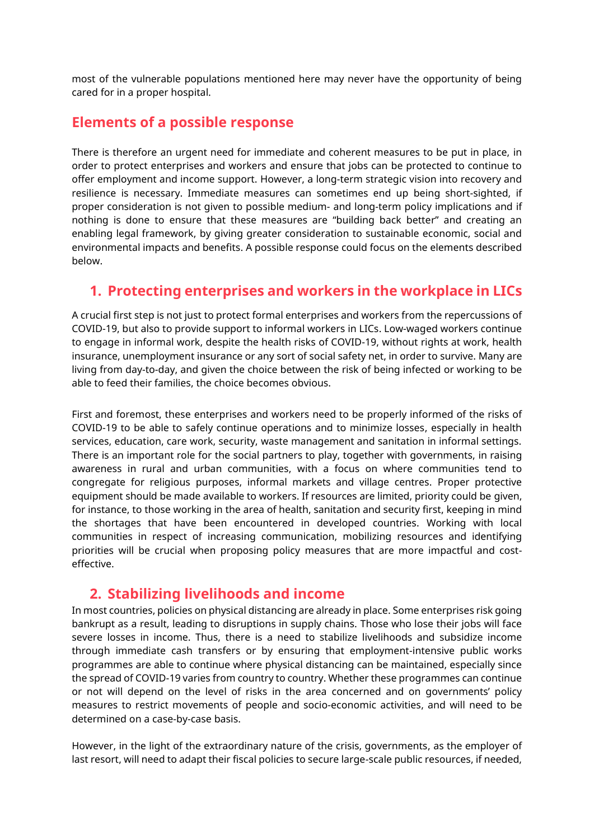most of the vulnerable populations mentioned here may never have the opportunity of being cared for in a proper hospital.

#### **Elements of a possible response**

There is therefore an urgent need for immediate and coherent measures to be put in place, in order to protect enterprises and workers and ensure that jobs can be protected to continue to offer employment and income support. However, a long-term strategic vision into recovery and resilience is necessary. Immediate measures can sometimes end up being short-sighted, if proper consideration is not given to possible medium- and long-term policy implications and if nothing is done to ensure that these measures are "building back better" and creating an enabling legal framework, by giving greater consideration to sustainable economic, social and environmental impacts and benefits. A possible response could focus on the elements described below.

#### **1. Protecting enterprises and workers in the workplace in LICs**

A crucial first step is not just to protect formal enterprises and workers from the repercussions of COVID-19, but also to provide support to informal workers in LICs. Low-waged workers continue to engage in informal work, despite the health risks of COVID-19, without rights at work, health insurance, unemployment insurance or any sort of social safety net, in order to survive. Many are living from day-to-day, and given the choice between the risk of being infected or working to be able to feed their families, the choice becomes obvious.

First and foremost, these enterprises and workers need to be properly informed of the risks of COVID-19 to be able to safely continue operations and to minimize losses, especially in health services, education, care work, security, waste management and sanitation in informal settings. There is an important role for the social partners to play, together with governments, in raising awareness in rural and urban communities, with a focus on where communities tend to congregate for religious purposes, informal markets and village centres. Proper protective equipment should be made available to workers. If resources are limited, priority could be given, for instance, to those working in the area of health, sanitation and security first, keeping in mind the shortages that have been encountered in developed countries. Working with local communities in respect of increasing communication, mobilizing resources and identifying priorities will be crucial when proposing policy measures that are more impactful and costeffective.

#### **2. Stabilizing livelihoods and income**

In most countries, policies on physical distancing are already in place. Some enterprises risk going bankrupt as a result, leading to disruptions in supply chains. Those who lose their jobs will face severe losses in income. Thus, there is a need to stabilize livelihoods and subsidize income through immediate cash transfers or by ensuring that employment-intensive public works programmes are able to continue where physical distancing can be maintained, especially since the spread of COVID-19 varies from country to country. Whether these programmes can continue or not will depend on the level of risks in the area concerned and on governments' policy measures to restrict movements of people and socio-economic activities, and will need to be determined on a case-by-case basis.

However, in the light of the extraordinary nature of the crisis, governments, as the employer of last resort, will need to adapt their fiscal policies to secure large-scale public resources, if needed,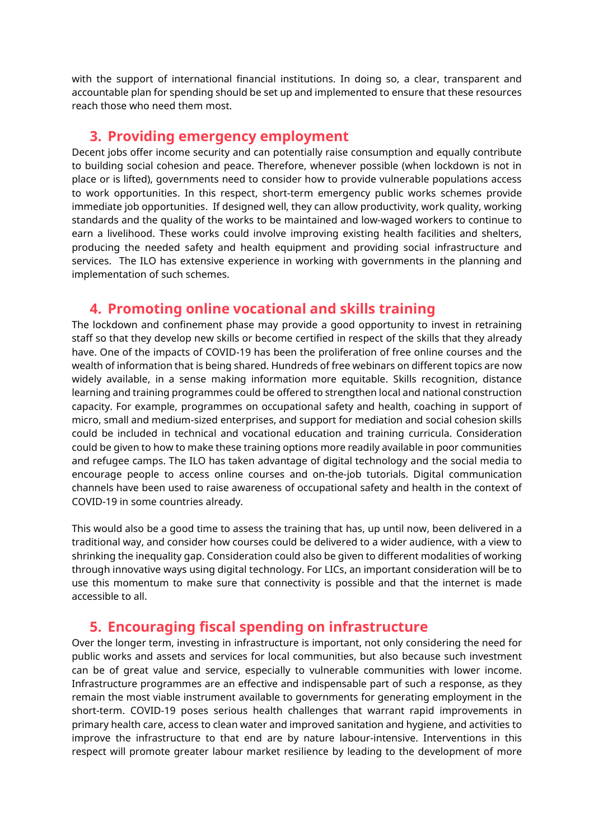with the support of international financial institutions. In doing so, a clear, transparent and accountable plan for spending should be set up and implemented to ensure that these resources reach those who need them most.

#### **3. Providing emergency employment**

Decent jobs offer income security and can potentially raise consumption and equally contribute to building social cohesion and peace. Therefore, whenever possible (when lockdown is not in place or is lifted), governments need to consider how to provide vulnerable populations access to work opportunities. In this respect, short-term emergency public works schemes provide immediate job opportunities. If designed well, they can allow productivity, work quality, working standards and the quality of the works to be maintained and low-waged workers to continue to earn a livelihood. These works could involve improving existing health facilities and shelters, producing the needed safety and health equipment and providing social infrastructure and services. The ILO has extensive experience in working with governments in the planning and implementation of such schemes.

#### **4. Promoting online vocational and skills training**

The lockdown and confinement phase may provide a good opportunity to invest in retraining staff so that they develop new skills or become certified in respect of the skills that they already have. One of the impacts of COVID-19 has been the proliferation of free online courses and the wealth of information that is being shared. Hundreds of free webinars on different topics are now widely available, in a sense making information more equitable. Skills recognition, distance learning and training programmes could be offered to strengthen local and national construction capacity. For example, programmes on occupational safety and health, coaching in support of micro, small and medium-sized enterprises, and support for mediation and social cohesion skills could be included in technical and vocational education and training curricula. Consideration could be given to how to make these training options more readily available in poor communities and refugee camps. The ILO has taken advantage of digital technology and the social media to encourage people to access online courses and on-the-job tutorials. Digital communication channels have been used to raise awareness of occupational safety and health in the context of COVID-19 in some countries already.

This would also be a good time to assess the training that has, up until now, been delivered in a traditional way, and consider how courses could be delivered to a wider audience, with a view to shrinking the inequality gap. Consideration could also be given to different modalities of working through innovative ways using digital technology. For LICs, an important consideration will be to use this momentum to make sure that connectivity is possible and that the internet is made accessible to all.

#### **5. Encouraging fiscal spending on infrastructure**

Over the longer term, investing in infrastructure is important, not only considering the need for public works and assets and services for local communities, but also because such investment can be of great value and service, especially to vulnerable communities with lower income. Infrastructure programmes are an effective and indispensable part of such a response, as they remain the most viable instrument available to governments for generating employment in the short-term. COVID-19 poses serious health challenges that warrant rapid improvements in primary health care, access to clean water and improved sanitation and hygiene, and activities to improve the infrastructure to that end are by nature labour-intensive. Interventions in this respect will promote greater labour market resilience by leading to the development of more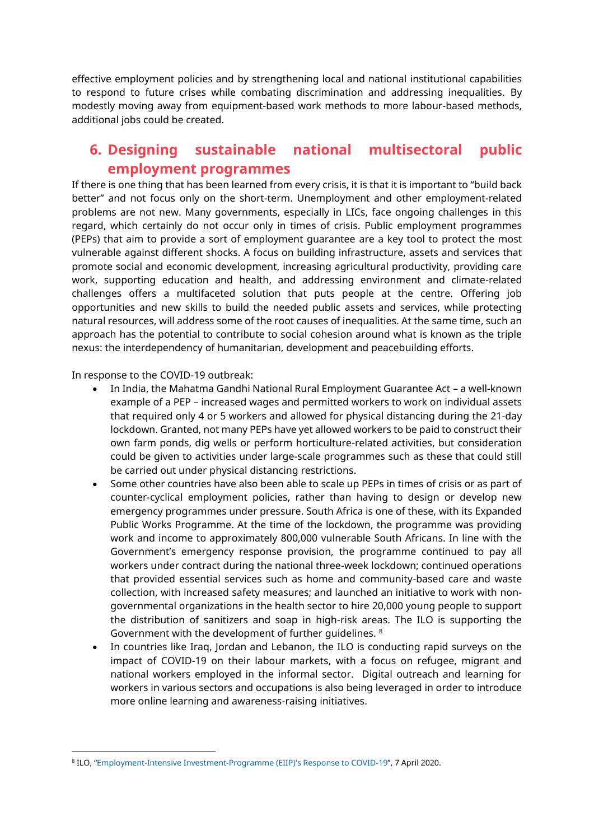effective employment policies and by strengthening local and national institutional capabilities to respond to future crises while combating discrimination and addressing inequalities. By modestly moving away from equipment-based work methods to more labour-based methods, additional jobs could be created.

#### **6. Designing sustainable national multisectoral public employment programmes**

If there is one thing that has been learned from every crisis, it is that it is important to "build back better" and not focus only on the short-term. Unemployment and other employment-related problems are not new. Many governments, especially in LICs, face ongoing challenges in this regard, which certainly do not occur only in times of crisis. Public employment programmes (PEPs) that aim to provide a sort of employment guarantee are a key tool to protect the most vulnerable against different shocks. A focus on building infrastructure, assets and services that promote social and economic development, increasing agricultural productivity, providing care work, supporting education and health, and addressing environment and climate-related challenges offers a multifaceted solution that puts people at the centre. Offering job opportunities and new skills to build the needed public assets and services, while protecting natural resources, will address some of the root causes of inequalities. At the same time, such an approach has the potential to contribute to social cohesion around what is known as the triple nexus: the interdependency of humanitarian, development and peacebuilding efforts.

In response to the COVID-19 outbreak:

- In India, the Mahatma Gandhi National Rural Employment Guarantee Act a well-known example of a PEP – increased wages and permitted workers to work on individual assets that required only 4 or 5 workers and allowed for physical distancing during the 21-day lockdown. Granted, not many PEPs have yet allowed workers to be paid to construct their own farm ponds, dig wells or perform horticulture-related activities, but consideration could be given to activities under large-scale programmes such as these that could still be carried out under physical distancing restrictions.
- Some other countries have also been able to scale up PEPs in times of crisis or as part of counter-cyclical employment policies, rather than having to design or develop new emergency programmes under pressure. South Africa is one of these, with its Expanded Public Works Programme. At the time of the lockdown, the programme was providing work and income to approximately 800,000 vulnerable South Africans. In line with the Government's emergency response provision, the programme continued to pay all workers under contract during the national three-week lockdown; continued operations that provided essential services such as home and community-based care and waste collection, with increased safety measures; and launched an initiative to work with nongovernmental organizations in the health sector to hire 20,000 young people to support the distribution of sanitizers and soap in high-risk areas. The ILO is supporting the Government with the development of further guidelines. <sup>8</sup>
- In countries like Iraq, Jordan and Lebanon, the ILO is conducting rapid surveys on the impact of COVID-19 on their labour markets, with a focus on refugee, migrant and national workers employed in the informal sector. Digital outreach and learning for workers in various sectors and occupations is also being leveraged in order to introduce more online learning and awareness-raising initiatives.

<sup>8</sup> ILO, "[Employment-Intensive Investment-Programme \(EIIP\)'s Response to COVID-19](https://www.ilo.org/global/topics/employment-intensive-investment/WCMS_741011/lang--en/index.htm)", 7 April 2020.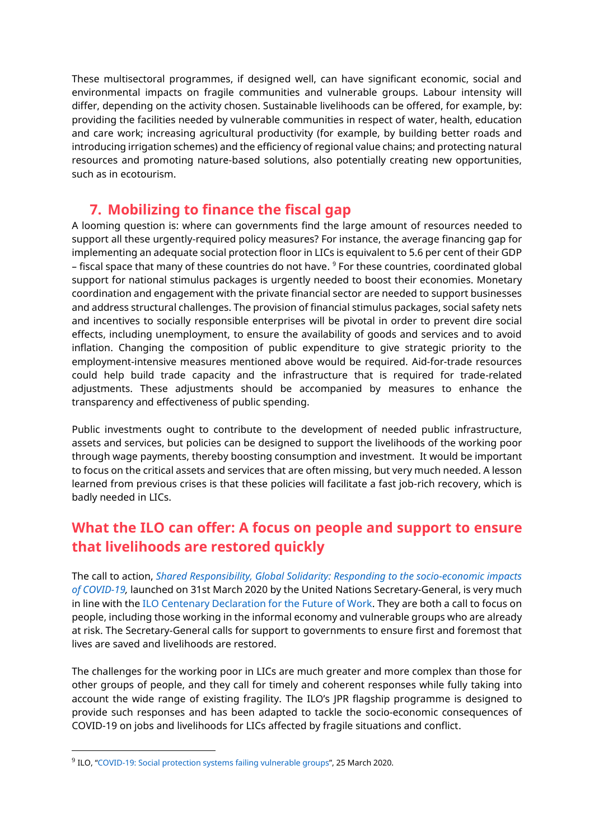These multisectoral programmes, if designed well, can have significant economic, social and environmental impacts on fragile communities and vulnerable groups. Labour intensity will differ, depending on the activity chosen. Sustainable livelihoods can be offered, for example, by: providing the facilities needed by vulnerable communities in respect of water, health, education and care work; increasing agricultural productivity (for example, by building better roads and introducing irrigation schemes) and the efficiency of regional value chains; and protecting natural resources and promoting nature-based solutions, also potentially creating new opportunities, such as in ecotourism.

#### **7. Mobilizing to finance the fiscal gap**

A looming question is: where can governments find the large amount of resources needed to support all these urgently-required policy measures? For instance, the average financing gap for implementing an adequate social protection floor in LICs is equivalent to 5.6 per cent of their GDP – fiscal space that many of these countries do not have. <sup>9</sup> For these countries, coordinated global support for national stimulus packages is urgently needed to boost their economies. Monetary coordination and engagement with the private financial sector are needed to support businesses and address structural challenges. The provision of financial stimulus packages, social safety nets and incentives to socially responsible enterprises will be pivotal in order to prevent dire social effects, including unemployment, to ensure the availability of goods and services and to avoid inflation. Changing the composition of public expenditure to give strategic priority to the employment-intensive measures mentioned above would be required. Aid-for-trade resources could help build trade capacity and the infrastructure that is required for trade-related adjustments. These adjustments should be accompanied by measures to enhance the transparency and effectiveness of public spending.

Public investments ought to contribute to the development of needed public infrastructure, assets and services, but policies can be designed to support the livelihoods of the working poor through wage payments, thereby boosting consumption and investment. It would be important to focus on the critical assets and services that are often missing, but very much needed. A lesson learned from previous crises is that these policies will facilitate a fast job-rich recovery, which is badly needed in LICs.

### **What the ILO can offer: A focus on people and support to ensure that livelihoods are restored quickly**

The call to action, *[Shared Responsibility, Global Solidarity: Responding to the socio-economic impacts](https://unsdg.un.org/resources/shared-responsibility-global-solidarity-responding-socio-economic-impacts-covid-19)  [of COVID-19,](https://unsdg.un.org/resources/shared-responsibility-global-solidarity-responding-socio-economic-impacts-covid-19)* launched on 31st March 2020 by the United Nations Secretary-General, is very much in line with the [ILO Centenary Declaration for the Future of Work.](https://www.ilo.org/global/about-the-ilo/mission-and-objectives/centenary-declaration/lang--en/index.htm) They are both a call to focus on people, including those working in the informal economy and vulnerable groups who are already at risk. The Secretary-General calls for support to governments to ensure first and foremost that lives are saved and livelihoods are restored.

The challenges for the working poor in LICs are much greater and more complex than those for other groups of people, and they call for timely and coherent responses while fully taking into account the wide range of existing fragility. The ILO's JPR flagship programme is designed to provide such responses and has been adapted to tackle the socio-economic consequences of COVID-19 on jobs and livelihoods for LICs affected by fragile situations and conflict.

 $^9$  ILO, "[COVID-19: Social protection systems failing vulnerable groups](https://www.ilo.org/global/about-the-ilo/newsroom/news/WCMS_739678/lang--en/index.htm)", 25 March 2020.